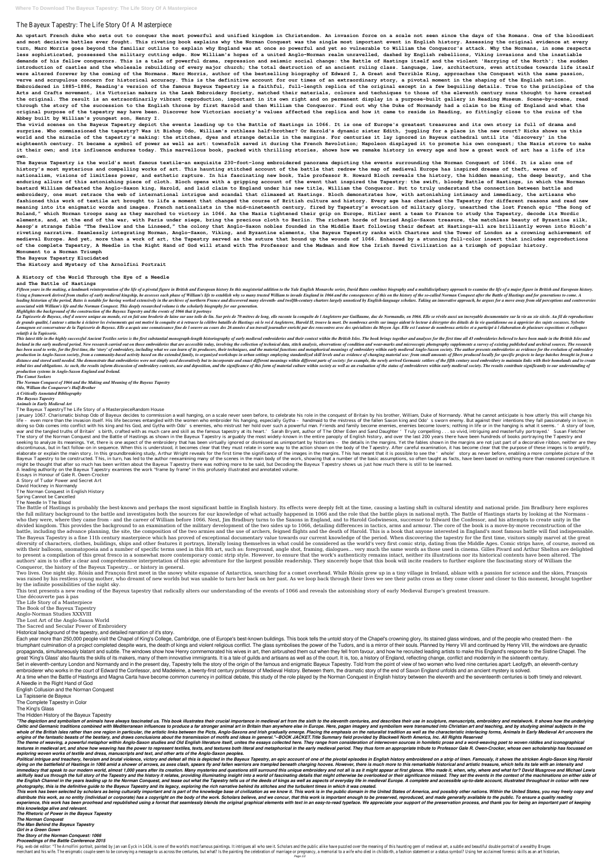# The Bayeux Tapestry: The Life Story Of A Masterpiece

**An upstart French duke who sets out to conquer the most powerful and unified kingdom in Christendom. An invasion force on a scale not seen since the days of the Romans. One of the bloodiest and most decisive battles ever fought. This riveting book explains why the Norman Conquest was the single most important event in English history. Assessing the original evidence at every turn, Marc Morris goes beyond the familiar outline to explain why England was at once so powerful and yet so vulnerable to William the Conqueror's attack. Why the Normans, in some respects less sophisticated, possessed the military cutting edge. How William's hopes of a united Anglo-Norman realm unravelled, dashed by English rebellions, Viking invasions and the insatiable demands of his fellow conquerors. This is a tale of powerful drama, repression and seismic social change: the Battle of Hastings itself and the violent 'Harrying of the North'; the sudden introduction of castles and the wholesale rebuilding of every major church; the total destruction of an ancient ruling class. Language, law, architecture, even attitudes towards life itself were altered forever by the coming of the Normans. Marc Morris, author of the bestselling biography of Edward I, A Great and Terrible King, approaches the Conquest with the same passion, verve and scrupulous concern for historical accuracy. This is the definitive account for our times of an extraordinary story, a pivotal moment in the shaping of the English nation. Embroidered in 1885-1886, Reading's version of the famous Bayeux Tapestry is a faithful, full-length replica of the original except in a few beguiling details. True to the principles of the Arts and Crafts movement, its Victorian makers in the Leek Embroidery Society, matched their materials, colours and techniques to those of the eleventh century nuns thought to have created the original. The result is an extraordinarily vibrant reproduction, important in its own right and on permanent display in a purpose-built gallery in Reading Museum. Scene-by-scene, read through the story of the succession to the English throne by first Harold and then William the Conqueror. Find out why the Duke of Normandy had a claim to be King of England and what the original purpose of the tapestry may have been. Discover how Victorian society's values affected the replica and how it came to reside in Reading, so fittingly close to the ruins of the Abbey built by William's youngest son, Henry I.**

**The vivid scenes on the Bayeux Tapestry depict the events leading up to the Battle of Hastings in 1066. It is one of Europe's greatest treasures and its own story is full of drama and surprise. Who commissioned the tapestry? Was it Bishop Odo, William's ruthless half-brother? Or Harold's dynamic sister Edith, juggling for a place in the new court? Hicks shows us this world and the miracle of the tapestry's making: the stitches, dyes and strange details in the margins. For centuries it lay ignored in Bayeux cathedral until its 'discovery' in the eighteenth century. It became a symbol of power as well as art: townsfolk saved it during the French Revolution; Napoleon displayed it to promote his own conquest; the Nazis strove to make it their own; and its influence endures today. This marvellous book, packed with thrilling stories, shows how we remake history in every age and how a great work of art has a life of its own.**

Fifteen years in the making, a landmark reinterpretation of the life of a pivotal figure in British and European history In this magisterial addition to the Yale English Monarchs series, David Bates combines biography and Using a framework derived from studies of early medieval kingship, he assesses each phase of William's life to establish why so many trusted William to invade England in 1066 and the consequences of this on the history of leading historian of the period, Bates is notable for having worked extensively in the archives of northern France and discovered many eleventh- and twelfth-century charters largely unnoticed by English-language scholars. *associated with William's life and the Norman Conquest. This deeply researched volume is the scholarly biography for our generation.*

La Tapisserie de Bayeux, chef d oeuvre unique au monde, est en fait une broderie de laine sur une toile de lin. Sur près de 70 mètres de long, elle raconte la conquête de l Angleterre par Guillaume, duc de Normandie, en 10 de grande qualité, l auteur s attache à éclairer les événements qui ont motivé la conquête et à retracer la célèbre bataille de Hastings où le roi d Angleterre, Harold II, trouve la mort. De nombreux arrêts sur image aiden Lemagnen est conservateur de la Tapisserie de Bayeux. Elle a acquis une connaissance fine de l oeuvre au cours des 26 années d un travail journalier enrichi par des spécialistes du Moyen Age. Elle est l auteur de nombreux *relatifs à la Tapisserie.*

**The Bayeux Tapestry is the world's most famous textile–an exquisite 230-foot-long embroidered panorama depicting the events surrounding the Norman Conquest of 1066. It is also one of history's most mysterious and compelling works of art. This haunting stitched account of the battle that redrew the map of medieval Europe has inspired dreams of theft, waves of nationalism, visions of limitless power, and esthetic rapture. In his fascinating new book, Yale professor R. Howard Bloch reveals the history, the hidden meaning, the deep beauty, and the enduring allure of this astonishing piece of cloth. Bloch opens with a gripping account of the event that inspired the Tapestry: the swift, bloody Battle of Hastings, in which the Norman bastard William defeated the Anglo-Saxon king, Harold, and laid claim to England under his new title, William the Conqueror. But to truly understand the connection between battle and embroidery, one must retrace the web of international intrigue and scandal that climaxed at Hastings. Bloch demonstrates how, with astonishing intimacy and immediacy, the artisans who fashioned this work of textile art brought to life a moment that changed the course of British culture and history. Every age has cherished the Tapestry for different reasons and read new meaning into its enigmatic words and images. French nationalists in the mid-nineteenth century, fired by Tapestry's evocation of military glory, unearthed the lost French epic "The Song of Roland," which Norman troops sang as they marched to victory in 1066. As the Nazis tightened their grip on Europe, Hitler sent a team to France to study the Tapestry, decode its Nordic elements, and, at the end of the war, with Paris under siege, bring the precious cloth to Berlin. The richest horde of buried Anglo-Saxon treasure, the matchless beauty of Byzantine silk, Aesop's strange fable "The Swallow and the Linseed," the colony that Anglo-Saxon nobles founded in the Middle East following their defeat at Hastings–all are brilliantly woven into Bloch's riveting narrative. Seamlessly integrating Norman, Anglo-Saxon, Viking, and Byzantine elements, the Bayeux Tapestry ranks with Chartres and the Tower of London as a crowning achievement of medieval Europe. And yet, more than a work of art, the Tapestry served as the suture that bound up the wounds of 1066. Enhanced by a stunning full-color insert that includes reproductions of the complete Tapestry, A Needle in the Right Hand of God will stand with The Professor and the Madman and How the Irish Saved Civilization as a triumph of popular history. Monument to a Norman Triumph**

This latest title in the highly successful Ancient Textiles series is the first substantial monograph-length historiography of early medieval embroideries and their context within the British Isles. The book brings togethe Ireland in the early medieval period. New research carried out on those embroideries that are accessible today, involving the collection of technical data, stitch analysis, observations of condition and wear-marks and micr has been used to write, for the first time, the 'story' of embroidery, including what we can learn of its producers, their techniques, and the material functions and metaphorical meanings of embroidery within early medieva production in Anglo-Saxon society, from a community-based activity based on the extended family, to organized workshops in urban settings employing standardized skill levels and as evidence of changing material use: from s distance and stored until needed. She demonstrate that embroideries were not simply used decoratively but to incorporate and enact different meanings within different parts of society: for example, the newly arrived German tribal ties and obligations. As such, the results inform discussion of embroidery contexts, use and deposition, and the significance of this form of material culture within society as well as an evaluation of the status of *production systems in Anglo-Saxon England and Ireland.*

**The Bayeux Tapestry Elucidated The History and Mystery of the Arnolfini Portrait**

**A History of the World Through the Eye of a Needle**

### **and The Battle of Hastings**

January 1067. Charismatic bishop Odo of Bayeux decides to commission a wall hanging, on a scale never seen before, to celebrate his role in the conquest of Britain by his brother, William, Duke of Normandy. What he cannot life - even more than the invasion itself. His life becomes entangled with the women who embroider his hanging, especially Gytha - handmaid to the mistress of the fallen Saxon king and Odo's sworn enemy. But against their doing so Odo comes into conflict with his king and his God, and Gytha with Odo's enemies, who mistrust her hold over such a powerful man. Friends and family become enemies, enemies become lovers; nothing in life or in the war and the tangled truths of Britain's birth, crafted with as much care and skill as the famous tapestry at its heart.' Sarah Bryant, author of The Other Eden and Sand Daughter 'Truly compelling . . . so vivid, intriguing The story of the Norman Conquest and the Battle of Hastings as shown in the Bayeux Tapestry is arguably the most widely-known in the entire panoply of English history, and over the last 200 years there have been hundreds o seeking to analyze its meanings. Yet, there is one aspect of the embroidery that has been virtually ignored or dismissed as unimportant by historians - the details in the margins. Yet the fables shown in the margins are no discontinuous, but in fact follow- on in sequence. When this is understood, it becomes clear that they must relate in some way to the action shown on the body of the Tapestry. After careful examination, it has become clear elaborate or explain the main story. In this groundbreaking study, Arthur Wright reveals for the first time the significance of the images in the margins. This has meant that it is possible to see the 'whole' story as neve Bayeux Tapestry to be constructed. This, in turn, has led to the author reexamining many of the scenes in the main body of the work, showing that a number of the basic assumptions, so often taught as facts, have been based might be thought that after so much has been written about the Bayeux Tapestry there was nothing more to be said, but Decoding the Bayeux Tapestry shows us just how much there is still to be learned.

*Highlights the background of the construction of the Bayeux Tapestry and the events of 1066 that it portrays*

The Battle of Hastings is probably the best-known and perhaps the most significant battle in English history. Its effects were deeply felt at the time, causing a lasting shift in cultural identity and national pride. Jim B the full military background to the battle and investigates both the sources for our knowledge of what actually happened in 1066 and the role that the battle plays in national myth. The Battle of Hastings starts by looking who they were, where they came from - and the career of William before 1066. Next, Jim Bradbury turns to the Saxons in England, and to Harold Godwineson, successor to Edward the Confessor, and his attempts to create unity divided kingdom. This provides the background to an examination of the military development of the two sides up to 1066, detailing differences in tactics, arms and armour. The core of the book is a move-by-move reconstruct battle, including the advance planning, the site, the composition of the two armies and the use of archers, feigned flights and the death of Harold. This is a book that anyone interested in England's most famous battle wil The Bayeux Tapestry is a fine 11th century masterpiece which has proved of exceptional documentary value towards our current knowledge of the period. When discovering the tapestry for the first time, visitors simply marvel diversity of characters, clothes, buildings, ships and other features it portrays, literally losing themselves in what could be considered as the world's very first comic strip, dating from the Middle Ages. Comic strips ha with their balloons, onomatopoeia and a number of specific terms used in this 8th art, such as: foreground, angle shot, framing, dialogues... very much the same words as those used in cinema. Gilles Pivard and Arthur Shelt to present a compilation of this great fresco in a somewhat more contemporary comic strip style. However, to ensure that the work's authenticity remains intact, neither its illustrations nor its historical contents have be authors' aim is to offer a clear and comprehensive interpretation of this epic adventure for the largest possible readership. They sincerely hope that this book will incite readers to further explore the fascinating story Conqueror, the history of the Bayeux Tapestry... or history in general.

Two lives. One night sky. Róisín and Francois first meet in the snowy white expanse of Antarctica, searching for a comet overhead. While Róisín grew up in a tiny village in Ireland, ablaze with a passion for science and th was raised by his restless young mother, who dreamt of new worlds but was unable to turn her back on her past. As we loop back through their lives we see their paths cross as they come closer and closer to this moment, bro by the infinite possibilities of the night sky.

Each year more than 250,000 people visit the Chapel of King's College, Cambridge, one of Europe's best-known buildings. This book tells the untold story of the Chapel's crowning glory, its stained glass windows, and of the triumphant culmination of a project completed despite wars, the death of kings and violent religious conflict. The glass symbolises the power of the Tudors, and is a mirror of their souls. Planned by Henry VII and continue propaganda, simultaneously blatant and subtle. The windows show how Henry commemorated his wives in art, then airbrushed them out when they fell from favour, and how he recruited leading artists to make this England's resp great 'King's Glass' also flaunts the skills of its makers, many of them innovative immigrants. It is a tale of guilds and artisans as well as of the court. It is, too, a history of England, reflecting change, conflict and Set in eleventh-century London and Normandy and in the present day, Tapestry tells the story of the origin of the famous and enigmatic Bayeux Tapestry. Told from the point of view of two women who lived nine centuries apar embroiderer who works in the court of Edward the Confessor, and Madeleine, a twenty-first century professor of Medieval History. Between them, the dramatic story of the end of Saxon England unfolds and an ancient mystery i At a time when the Battle of Hastings and Magna Carta have become common currency in political debate, this study of the role played by the Norman Conquest in English history between the eleventh and the seventeenth centur A Needle in the Right Hand of God English Collusion and the Norman Conquest

The theme of weaving, a powerful metaphor within Anglo-Saxon studies and Old English literature itself, unites the essays collected here. They range from consideration of interwoven sources in homiletic prose and a word-we textures in medieval art, and show how weaving has the power to represent textiles, texts, and textures both literal and metaphorical in the early medieval period. They thus form an appropriate tribute to Professor Gale R. *exploring woven works of textile and dress, manuscripts and text, and other arts of the Anglo-Saxon peoples.*

*The Comet Seekers*

*The Norman Conquest of 1066 and the Making and Meaning of the Bayeux Tapestry*

*Odo, William the Conqueror's Half-Brother*

*A Critically Annotated Bibliography The Bayeux Tapestry*

*Animals in Early Medieval Art* The Bayeux TapestryThe Life Story of a MasterpieceRandom House

Political intrigue and treachery, heroism and brutal violence, victory and defeat all this is depicted in the Bayeux Tapestry, an epic account of one of the pivotal episodes in English history embroidered on a strip of lin dying on the battlefield of Hastings in 1066 amid a shower of arrows, as axes clash, spears fly and fallen warriors are trampled beneath charging hooves. However, there is much more to this remarkable historical and artist immediacy that speak to our modern world, almost 1,000 years after its creation. Many mysteries and questions still surround this unique embroidery and not all is as it might appear at first glance. Who made it, when, why, skilfully lead us through the full story of the Tapestry and the history it relates, providing illuminating insight into a world of fascinating details that might otherwise be overlooked or their significance missed. They the English Channel in the years leading up to the Norman Conquest, and tease out what the Tapestry tells us of the deeds of kings as well as aspects of everyday life in medieval Europe. A complete and accessible up-to-dat *photography, this is the definitive guide to the Bayeux Tapestry and its legacy, exploring the rich narrative behind its stitches and the turbulent times in which it was created.*

This work has been selected by scholars as being culturally important and is part of the knowledge base of civilization as we know it. This work is in the public domain in the United States of America, and possibly other n distribute this work, as no entity (individual or corporate) has a copyright on the body of the work. Scholars believe, and we concur, that this work is important enough to be preserved, reproduced, and made generally avai experience, this work has been proofread and republished using a format that seamlessly blends the original graphical elements with text in an easy-to-read typeface. We appreciate your support of the preservation process, *this knowledge alive and relevant.*

A leading authority on the Bayeux Tapestry examines the work "frame by frame" in this profusely illustrated and annotated volume.

Essays in Honour of Gale R. Owen-Crocker

A Story of Tudor Power and Secret Art

David Hockney in Normandy

The Norman Conquest in English History

Spring Cannot be Cancelled

The Needle In The Blood

This text presents a new reading of the Bayeux tapestry that radically alters our understanding of the events of 1066 and reveals the astonishing story of early Medieval Europe's greatest treasure.

Une découverte pas à pas

The Life Story of a Masterpiece

The Book of the Bayeux Tapestry

Anglo-Norman Studies XXXVIII

The Lost Art of the Anglo-Saxon World

The Sacred and Secular Power of Embroidery

Historical background of the tapestry, and detailed narration of it's story.

La Tapisserie de Bayeux

The Complete Tapestry in Color

# The King's Glass

The Hidden History of the Bayeux Tapestry

"The depiction and symbolism of animals have always fascinated us. This book illustrates their crucial importance in medieval art from the sixth to the eleventh centuries, and describes their use in sculpture, manuscripts, Celtic and Germanic traditions combined with Mediterranean influences to produce a far stronger animal art in Britain than anywhere else in Europe. Here, pagan imagery and symbolism were transmuted into Christian art and t whole of the British Isles rather than one region in particular, the artistic links between the Picts, Anglo-Saxons and Irish gradually emerge. Placing the emphasis on the naturalist tradition as well as the characteristic origins of the fantastic beasts of the bestiary, and draws conclusions about the transmission of motifs and ideas in general."--BOOK JACKET. Title Summary field provided by Blackwell North America, Inc. All Rights Reserved

*The Rhetoric of Power in the Bayeux Tapestry*

*The Norman Conquest*

*The Man Behind the Bayeux Tapestry*

*Girl in a Green Gown*

*The Story of the Norman Conquest: 1066*

### *Proceedings of the Battle Conference 2015*

Pág. web del editor: "The Arnolfini portrait, painted by Jan van Eyck in 1434, is one of the world's most famous paintings. It intrigues all who see it. Scholars and the public alike have puzzled over the meaning of this h merchant and his wife. The enigmatic couple seem to be conveying a message to us across the centuries, but what? Is the painting the celebration of marriage or pregnancy, a memorial to a wife who died in childbirth, a fash